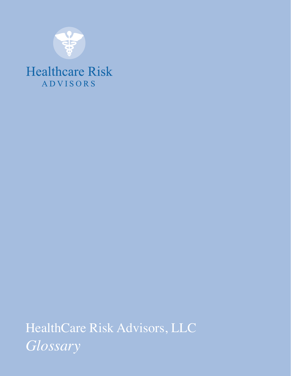

### **Healthcare Risk ADVISORS**

HealthCare Risk Advisors, LLC *Glossary*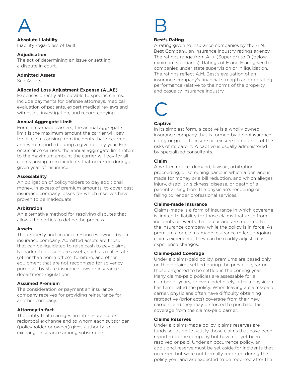

**Absolute Liability** Liability regardless of fault.

#### **Adjudication**

The act of determining an issue or settling a dispute in court.

#### **Admitted Assets**

See Assets.

#### **Allocated Loss Adjustment Expense (ALAE)**

Expenses directly attributable to specific claims. Include payments for defense attorneys, medical evaluation of patients, expert medical reviews and witnesses, investigation, and record copying.

#### **Annual Aggregate Limit**

For claims-made carriers, the annual aggregate limit is the maximum amount the carrier will pay for all claims arising from incidents that occurred and were reported during a given policy year. For occurrence carriers, the annual aggregate limit refers to the maximum amount the carrier will pay for all claims arising from incidents that occurred during a given year of insurance.

#### **Assessability**

An obligation of policyholders to pay additional money, in excess of premium amounts, to cover past insurance company losses for which reserves have proven to be inadequate.

#### **Arbitration**

An alternative method for resolving disputes that allows the parties to define the process.

#### **Assets**

The property and financial resources owned by an insurance company. Admitted assets are those that can be liquidated to raise cash to pay claims. Nonadmitted assets are assets, such as real estate (other than home office), furniture, and other equipment that are not recognized for solvency purposes by state insurance laws or insurance department regulations.

#### **Assumed Premium**

The consideration or payment an insurance company receives for providing reinsurance for another company.

#### **Attorney-in-fact**

The entity that manages an interinsurance or reciprocal exchange and to whom each subscriber (policyholder or owner) gives authority to exchange insurance among subscribers.



#### **Best's Rating**

A rating given to insurance companies by the A.M. Best Company, an insurance industry ratings agency. The ratings range from A++ (Superior) to D (below minimum standards). Ratings of E and F are given to companies under state supervision or in liquidation. The ratings reflect A.M. Best's evaluation of an insurance company's financial strength and operating performance relative to the norms of the property and casualty insurance industry.

### C

#### **Captive**

In its simplest form, a captive is a wholly owned insurance company that is formed by a noninsurance entity or group to insure or reinsure some or all of the risks of its parent. A captive is usually administered by specialized consultants.

#### **Claim**

A written notice, demand, lawsuit, arbitration proceeding, or screening panel in which a demand is made for money or a bill reduction, and which alleges Injury, disability, sickness, disease, or death of a patient arising from the physician's rendering or failing to render professional services.

#### **Claims-made Insurance**

Claims-made is a form of insurance in which coverage is limited to liability for those claims that arise from incidents or events that occur and are reported to the insurance company while the policy is in force. As premiums for claims-made insurance reflect ongoing claims experience, they can be readily adjusted as experience changes.

#### **Claims-paid Coverage**

Under a claims-paid policy, premiums are based only on those claims settled during the previous year or those projected to be settled in the coming year. Many claims-paid policies are assessable for a number of years, or even indefinitely, after a physician has terminated the policy. When leaving a claims-paid carrier, physicians often have difficulty obtaining retroactive (prior acts) coverage from their new carriers, and they may be forced to purchase tail coverage from the claims-paid carrier.

#### **Claims Reserves**

Under a claims-made policy, claims reserves are funds set aside to satisfy those claims that have been reported to the company but have not yet been resolved or paid. Under an occurrence policy, an additional reserve must be set aside for incidents that occurred but were not formally reported during the policy year and are expected to be reported after the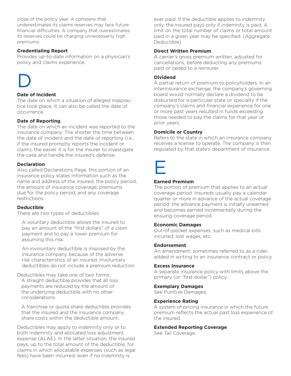close of the policy year. A company that underestimates its claims reserves may face future financial difficulties. A company that overestimates its reserves could be charging unnecessarily high premiums.

#### **Credentialing Report**

Provides up-to-date information on a physician's policy and claims experience.

## D

#### **Date of Incident**

The date on which a situation of alleged malpractice took place. It can also be called the date of occurrence.

#### **Date of Reporting**

The date on which an incident was reported to the insurance company. The shorter the time between the date of incident and the date of reporting (i.e., if the insured promptly reports the incident or claim), the easier it is for the insurer to investigate the case and handle the insured's defense.

#### **Declaration**

Also called Declarations Page, this portion of an insurance policy states information such as the name and address of the insured, the policy period, the amount of insurance coverage, premiums due for the policy period, and any coverage restrictions.

#### **Deductible**

There are two types of deductibles:

A voluntary deductible allows the insured to pay an amount of the "first dollars" of a claim payment and to pay a lower premium for assuming this risk.

An involuntary deductible is imposed by the insurance company because of the adverse risk characteristics of an insured. Involuntary deductibles do not include a premium reduction.

Deductibles may take one of two forms: A straight deductible provides that all loss payments are reduced by the amount of the underlying deductible with no other considerations.

A franchise or quota share deductible provides that the insured and the insurance company share costs within the deductible amount.

Deductibles may apply to indemnity only or to both indemnity and allocated loss adjustment expense (ALAE). In the latter situation, the insured pays, up to the total amount of the deductible, for claims in which allocatable expenses (such as legal fees) have been incurred, even if no indemnity is

ever paid. If the deductible applies to indemnity only, the insured pays only if indemnity is paid. A limit on the total number of claims or total amount paid in a given year may be specified. (Aggregate Deductible)

#### **Direct Written Premium**

A carrier's gross premium written, adjusted for cancellations, before deducting any premiums paid or ceded to a reinsurer.

#### **Dividend**

A partial return of premium to policyholders. In an interinsurance exchange, the company's governing board would normally declare a dividend to be disbursed for a particular state or specialty if the company's claims and financial experience for one or more past years resulted in funds exceeding those needed to pay the claims for that year or prior years.

#### **Domicile or Country**

Refers to the state in which an insurance company receives a license to operate. The company is then regulated by that state's department of insurance.



#### **Earned Premium**

The portion of premium that applies to an actual coverage period. Insureds usually pay a calendar quarter or more in advance of the actual coverage period; the advance payment is initially unearned and becomes earned incrementally during the ensuing coverage period.

#### **Economic Damages**

Out-of-pocket expenses, such as medical bills incurred, lost wages, etc.

#### **Endorsement**

An amendment, sometimes referred to as a rider, added in writing to an insurance contract or policy.

#### **Excess Insurance**

A separate insurance policy with limits above the primary (or "first dollar") policy.

#### **Exemplary Damages**

See Punitive Damages.

#### **Experience Rating**

A system of pricing insurance in which the future premium reflects the actual past loss experience of the insured.

#### **Extended Reporting Coverage**

See Tail Coverage.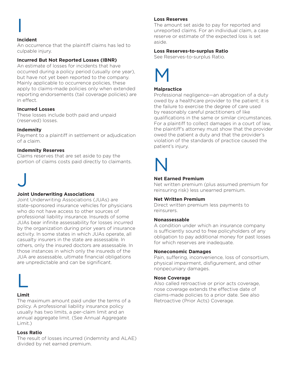**I** 

#### **Incident**

An occurrence that the plaintiff claims has led to culpable injury.

#### **Incurred But Not Reported Losses (IBNR)**

An estimate of losses for incidents that have occurred during a policy period (usually one year), but have not yet been reported to the company. Mainly applicable to occurrence policies, these apply to claims-made policies only when extended reporting endorsements (tail coverage policies) are in effect.

#### **Incurred Losses**

These losses include both paid and unpaid (reserved) losses.

#### **Indemnity**

Payment to a plaintiff in settlement or adjudication of a claim.

#### **Indemnity Reserves**

Claims reserves that are set aside to pay the portion of claims costs paid directly to claimants.



#### **Joint Underwriting Associations**

Joint Underwriting Associations (JUAs) are state-sponsored insurance vehicles for physicians who do not have access to other sources of professional liability insurance. Insureds of some JUAs bear infinite assessability for losses incurred by the organization during prior years of insurance activity. In some states in which JUAs operate, all casualty insurers in the state are assessable. In others, only the insured doctors are assessable. In those instances in which only the insureds of the JUA are assessable, ultimate financial obligations are unpredictable and can be significant.



#### **Limit**

The maximum amount paid under the terms of a policy. A professional liability insurance policy usually has two limits, a per-claim limit and an annual aggregate limit. (See Annual Aggregate Limit.)

#### **Loss Ratio**

The result of losses incurred (indemnity and ALAE) divided by net earned premium.

#### **Loss Reserves**

The amount set aside to pay for reported and unreported claims. For an individual claim, a case reserve or estimate of the expected loss is set aside.

#### **Loss Reserves-to-surplus Ratio**

See Reserves-to-surplus Ratio.



#### **Malpractice**

Professional negligence—an abrogation of a duty owed by a healthcare provider to the patient; it is the failure to exercise the degree of care used by reasonably careful practitioners of like qualifications in the same or similar circumstances. For a plaintiff to collect damages in a court of law, the plaintiff's attorney must show that the provider owed the patient a duty and that the provider's violation of the standards of practice caused the patient's injury.

### N

#### **Net Earned Premium**

Net written premium (plus assumed premium for reinsuring risk) less unearned premium.

#### **Net Written Premium**

Direct written premium less payments to reinsurers.

#### **Nonassessable**

A condition under which an insurance company is sufficiently sound to free policyholders of any obligation to pay additional money for past losses for which reserves are inadequate.

#### **Noneconomic Damages**

Pain, suffering, inconvenience, loss of consortium, physical impairment, disfigurement, and other nonpecuniary damages.

#### **Nose Coverage**

Also called retroactive or prior acts coverage, nose coverage extends the effective date of claims-made policies to a prior date. See also Retroactive (Prior Acts) Coverage.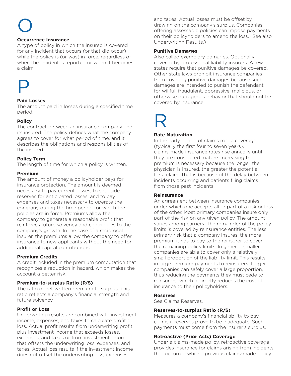# O

#### **Occurrence Insurance**

A type of policy in which the insured is covered for any incident that occurs (or that did occur) while the policy is (or was) in force, regardless of when the incident is reported or when it becomes a claim.



#### **Paid Losses**

The amount paid in losses during a specified time period.

#### **Policy**

The contract between an insurance company and its insured. The policy defines what the company agrees to cover for what period of time, and it describes the obligations and responsibilities of the insured.

#### **Policy Term**

The length of time for which a policy is written.

#### **Premium**

The amount of money a policyholder pays for insurance protection. The amount is deemed necessary to pay current losses, to set aside reserves for anticipated losses, and to pay expenses and taxes necessary to operate the company during the time period for which the policies are in force. Premiums allow the company to generate a reasonable profit that reinforces future solvency and contributes to the company's growth. In the case of a reciprocal insurer, the premiums allow the company to offer insurance to new applicants without the need for additional capital contributions.

#### **Premium Credits**

A credit included in the premium computation that recognizes a reduction in hazard, which makes the account a better risk.

#### **Premium-to-surplus Ratio (P/S)**

The ratio of net written premium to surplus. This ratio reflects a company's financial strength and future solvency.

#### **Profit or Loss**

Underwriting results are combined with investment income, expenses, and taxes to calculate profit or loss. Actual profit results from underwriting profit plus investment income that exceeds losses, expenses, and taxes or from investment income that offsets the underwriting loss, expenses, and taxes. Actual loss results if the investment income does not offset the underwriting loss, expenses,

and taxes. Actual losses must be offset by drawing on the company's surplus. Companies offering assessable policies can impose payments on their policyholders to amend the loss. (See also Underwriting Results.)

#### **Punitive Damages**

Also called exemplary damages. Optionally covered by professional liability insurers. A few states require that punitive damages be covered. Other state laws prohibit insurance companies from covering punitive damages because such damages are intended to punish the defendant for willful, fraudulent, oppressive, malicious, or otherwise outrageous behavior that should not be covered by insurance.

### R

#### **Rate Maturation**

In the early period of claims made coverage (typically the first four to seven years), claims-made insurance rates rise annually until they are considered mature. Increasing the premium is necessary because the longer the physician is insured, the greater the potential for a claim. That is because of the delay between incidents occurring and patients filing claims from those past incidents.

#### **Reinsurance**

An agreement between insurance companies under which one accepts all or part of a risk or loss of the other. Most primary companies insure only part of the risk on any given policy. The amount varies among carriers. The remainder of the policy limits is covered by reinsurance entities. The less primary risk that a company insures, the more premium it has to pay to the reinsurer to cover the remaining policy limits. In general, smaller companies are able to cover only a relatively small proportion of the liability limit. This results in large premium payments to reinsurers. Larger companies can safely cover a large proportion, thus reducing the payments they must cede to reinsurers, which indirectly reduces the cost of insurance to their policyholders.

#### **Reserves**

See Claims Reserves.

#### **Reserves-to-surplus Ratio (R/S)**

Measures a company's financial ability to pay claims if reserves prove to be inadequate. Such payments must come from the insurer's surplus.

#### **Retroactive (Prior Acts) Coverage**

Under a claims-made policy, retroactive coverage provides insurance for claims arising from incidents that occurred while a previous claims-made policy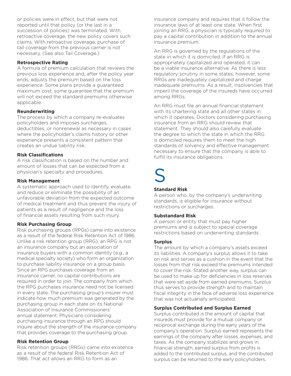or policies were in effect, but that were not reported until that policy (or the last in a succession of policies) was terminated. With retroactive coverage, the new policy covers such claims. With retroactive coverage, purchase of tail coverage from the previous carrier is not necessary. (See also Tail Coverage.)

#### **Retrospective Rating**

A formula of premium calculation that reviews the previous loss experience and, after the policy year ends, adjusts the premium based on the loss experience. Some plans provide a guaranteed maximum cost; some guarantee that the premium will not exceed the standard premiums otherwise applicable.

#### **Reunderwriting**

The process by which a company re-evaluates policyholders and imposes surcharges, deductibles, or nonrenewal as necessary in cases where the policyholder's claims history or other experience presents a consistent pattern that creates an undue liability risk.

#### **Risk Classifications**

A risk classification is based on the number and amount of losses that can be expected from a physician's specialty and procedures.

#### **Risk Management**

A systematic approach used to identify, evaluate, and reduce or eliminate the possibility of an unfavorable deviation from the expected outcome of medical treatment and thus prevent the injury of patients as a result of negligence and the loss of financial assets resulting from such injury.

#### **Risk Purchasing Group**

Risk purchasing groups (RPGs) came into existence as a result of the federal Risk Retention Act of 1986. Unlike a risk retention group (RRG), an RPG is not an insurance company but an association of insurance buyers with a common identity (e.g., a medical specialty society) who form an organization to purchase liability insurance on a group basis. Since an RPG purchases coverage from an insurance carrier, no capital contributions are required in order to join. The company from which the RPG purchases insurance need not be licensed in every state. The purchasing group's insurer must indicate how much premium was generated by the purchasing group in each state on its National Association of Insurance Commissioners' annual statement. Physicians considering purchasing insurance through an RPG should inquire about the strength of the insurance company that provides coverage to the purchasing group.

#### **Risk Retention Group**

Risk retention groups (RRGs) came into existence as a result of the federal Risk Retention Act of 1986. That act allows an RRG to form as an

insurance company and requires that it follow the insurance laws of at least one state. When first joining an RRG, a physician is typically required to pay a capital contribution in addition to the annual insurance premium.

An RRG is governed by the regulations of the state in which it is domiciled. If an RRG is appropriately capitalized and operated, it can be a viable insurance alternative. As there is less regulatory scrutiny in some states, however, some RRGs are inadequately capitalized and charge inadequate premiums. As a result, insolvencies that imperil the coverage of the insureds have occurred among RRGs.

An RRG must file an annual financial statement with its chartering state and all other states in which it operates. Doctors considering purchasing insurance from an RRG should review that statement. They should also carefully evaluate the degree to which the state in which the RRG is domiciled requires them to meet the high standards of solvency and effective management necessary to ensure that the company is able to fulfill its insurance obligations.

### S

#### **Standard Risk**

A person who, by the company's underwriting standards, is eligible for insurance without restrictions or surcharges.

#### **Substandard Risk**

A person or entity that must pay higher premiums and is subject to special coverage restrictions based on underwriting standards.

#### **Surplus**

The amount by which a company's assets exceed its liabilities. A company's surplus allows it to take on risk and serves as a cushion in the event that the losses from that risk exceed the premiums intended to cover the risk. Stated another way, surplus can be used to make up for deficiencies in loss reserves that were set aside from earned premiums. Surplus thus serves to provide strength and to maintain fiscal integrity in the face of adverse loss experience that was not actuarially anticipated.

#### **Surplus Contributed and Surplus Earned**

Surplus contributed is the amount of capital that insureds must provide for a mutual company or reciprocal exchange during the early years of the company's operation. Surplus earned represents the earnings of the company after losses, expenses, and taxes. As the company stabilizes and grows in financial strength, earned surplus from profits is added to the contributed surplus, and the contributed surplus can be returned to the early policyholders.